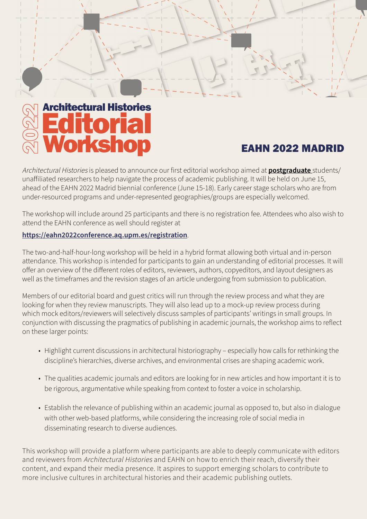# Architectural Histories orkshop itoria

### EAHN 2022 MADRID

Architectural Histories is pleased to announce our first editorial workshop aimed at **postgraduate** students/ unaffiliated researchers to help navigate the process of academic publishing. It will be held on June 15, ahead of the EAHN 2022 Madrid biennial conference (June 15-18). Early career stage scholars who are from under-resourced programs and under-represented geographies/groups are especially welcomed.

The workshop will include around 25 participants and there is no registration fee. Attendees who also wish to attend the EAHN conference as well should register at

#### **https://eahn2022conference.aq.upm.es/registration**.

The two-and-half-hour-long workshop will be held in a hybrid format allowing both virtual and in-person attendance. This workshop is intended for participants to gain an understanding of editorial processes. It will offer an overview of the different roles of editors, reviewers, authors, copyeditors, and layout designers as well as the timeframes and the revision stages of an article undergoing from submission to publication.

Members of our editorial board and guest critics will run through the review process and what they are looking for when they review manuscripts. They will also lead up to a mock-up review process during which mock editors/reviewers will selectively discuss samples of participants' writings in small groups. In conjunction with discussing the pragmatics of publishing in academic journals, the workshop aims to reflect on these larger points:

- Highlight current discussions in architectural historiography especially how calls for rethinking the discipline's hierarchies, diverse archives, and environmental crises are shaping academic work.
- The qualities academic journals and editors are looking for in new articles and how important it is to be rigorous, argumentative while speaking from context to foster a voice in scholarship.
- Establish the relevance of publishing within an academic journal as opposed to, but also in dialogue with other web-based platforms, while considering the increasing role of social media in disseminating research to diverse audiences.

This workshop will provide a platform where participants are able to deeply communicate with editors and reviewers from Architectural Histories and EAHN on how to enrich their reach, diversify their content, and expand their media presence. It aspires to support emerging scholars to contribute to more inclusive cultures in architectural histories and their academic publishing outlets.